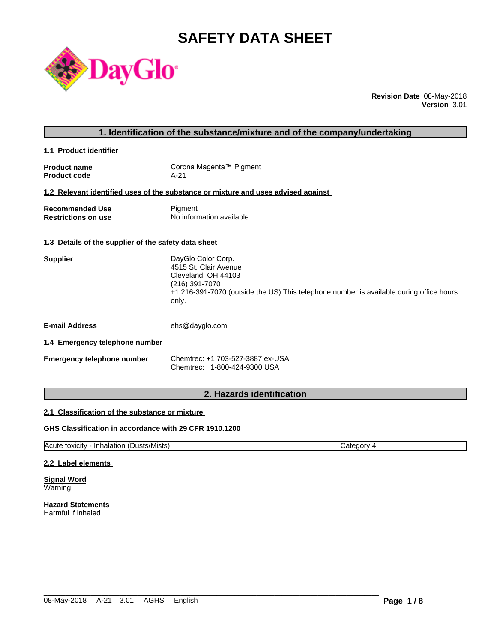# **SAFETY DATA SHEET**



**Revision Date** 08-May-2018 **Version** 3.01

| 1. Identification of the substance/mixture and of the company/undertaking |                                                                                                                                                                                          |  |  |
|---------------------------------------------------------------------------|------------------------------------------------------------------------------------------------------------------------------------------------------------------------------------------|--|--|
| 1.1 Product identifier                                                    |                                                                                                                                                                                          |  |  |
| <b>Product name</b><br><b>Product code</b>                                | Corona Magenta™ Pigment<br>$A-21$                                                                                                                                                        |  |  |
|                                                                           | 1.2 Relevant identified uses of the substance or mixture and uses advised against                                                                                                        |  |  |
| <b>Recommended Use</b><br><b>Restrictions on use</b>                      | Pigment<br>No information available                                                                                                                                                      |  |  |
| 1.3 Details of the supplier of the safety data sheet                      |                                                                                                                                                                                          |  |  |
| <b>Supplier</b>                                                           | DayGlo Color Corp.<br>4515 St. Clair Avenue<br>Cleveland, OH 44103<br>(216) 391-7070<br>+1 216-391-7070 (outside the US) This telephone number is available during office hours<br>only. |  |  |
| <b>E-mail Address</b>                                                     | ehs@dayglo.com                                                                                                                                                                           |  |  |
| 1.4 Emergency telephone number                                            |                                                                                                                                                                                          |  |  |
| <b>Emergency telephone number</b>                                         | Chemtrec: +1 703-527-3887 ex-USA<br>Chemtrec: 1-800-424-9300 USA                                                                                                                         |  |  |
|                                                                           |                                                                                                                                                                                          |  |  |

### **2. Hazards identification**

#### **2.1 Classification of the substance or mixture**

#### **GHS Classification in accordance with 29 CFR 1910.1200**

Acute toxicity - Inhalation (Dusts/Mists) Category 4

 $\_$  ,  $\_$  ,  $\_$  ,  $\_$  ,  $\_$  ,  $\_$  ,  $\_$  ,  $\_$  ,  $\_$  ,  $\_$  ,  $\_$  ,  $\_$  ,  $\_$  ,  $\_$  ,  $\_$  ,  $\_$  ,  $\_$  ,  $\_$  ,  $\_$  ,  $\_$  ,  $\_$  ,  $\_$  ,  $\_$  ,  $\_$  ,  $\_$  ,  $\_$  ,  $\_$  ,  $\_$  ,  $\_$  ,  $\_$  ,  $\_$  ,  $\_$  ,  $\_$  ,  $\_$  ,  $\_$  ,  $\_$  ,  $\_$  ,

#### **2.2 Label elements**

**Signal Word** Warning

**Hazard Statements** Harmful if inhaled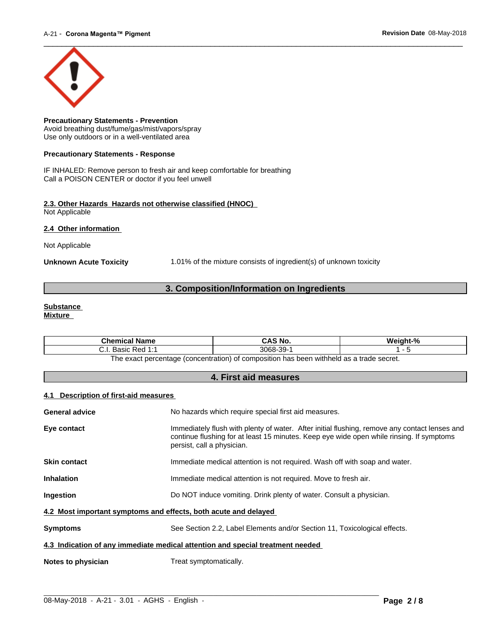

**Precautionary Statements - Prevention** Avoid breathing dust/fume/gas/mist/vapors/spray Use only outdoors or in a well-ventilated area

#### **Precautionary Statements - Response**

IF INHALED: Remove person to fresh air and keep comfortable for breathing Call a POISON CENTER or doctor if you feel unwell

#### **2.3. Other Hazards Hazards not otherwise classified (HNOC)** Not Applicable

**2.4 Other information** 

Not Applicable

**Unknown Acute Toxicity** 1.01% of the mixture consists of ingredient(s) of unknown toxicity

### **3. Composition/Information on Ingredients**

#### **Substance Mixture**

| Chemical<br><b>Name</b>                                                                     | AS No.              | $\mathbf{a}$<br>'Veiaht' |  |
|---------------------------------------------------------------------------------------------|---------------------|--------------------------|--|
| Red<br>Basic<br>.                                                                           | .ว၀.<br>3068<br>ືບປ |                          |  |
| tannas ahart a sa hladdiw r<br>The exact nercentage (concentration) of composition has been |                     |                          |  |

The exact percentage (concentration) of composition has been withheld as a trade secret.

### **4. First aid measures**

#### **4.1 Description of first-aid measures**

| <b>General advice</b>                                                          | No hazards which require special first aid measures.                                                                                                                                                                    |  |
|--------------------------------------------------------------------------------|-------------------------------------------------------------------------------------------------------------------------------------------------------------------------------------------------------------------------|--|
| Eye contact                                                                    | Immediately flush with plenty of water. After initial flushing, remove any contact lenses and<br>continue flushing for at least 15 minutes. Keep eye wide open while rinsing. If symptoms<br>persist, call a physician. |  |
| <b>Skin contact</b>                                                            | Immediate medical attention is not required. Wash off with soap and water.                                                                                                                                              |  |
| <b>Inhalation</b>                                                              | Immediate medical attention is not required. Move to fresh air.                                                                                                                                                         |  |
| <b>Ingestion</b>                                                               | Do NOT induce vomiting. Drink plenty of water. Consult a physician.                                                                                                                                                     |  |
| 4.2 Most important symptoms and effects, both acute and delayed                |                                                                                                                                                                                                                         |  |
| <b>Symptoms</b>                                                                | See Section 2.2, Label Elements and/or Section 11, Toxicological effects.                                                                                                                                               |  |
| 4.3 Indication of any immediate medical attention and special treatment needed |                                                                                                                                                                                                                         |  |
| Notes to physician                                                             | Treat symptomatically.                                                                                                                                                                                                  |  |
|                                                                                |                                                                                                                                                                                                                         |  |

 $\_$  ,  $\_$  ,  $\_$  ,  $\_$  ,  $\_$  ,  $\_$  ,  $\_$  ,  $\_$  ,  $\_$  ,  $\_$  ,  $\_$  ,  $\_$  ,  $\_$  ,  $\_$  ,  $\_$  ,  $\_$  ,  $\_$  ,  $\_$  ,  $\_$  ,  $\_$  ,  $\_$  ,  $\_$  ,  $\_$  ,  $\_$  ,  $\_$  ,  $\_$  ,  $\_$  ,  $\_$  ,  $\_$  ,  $\_$  ,  $\_$  ,  $\_$  ,  $\_$  ,  $\_$  ,  $\_$  ,  $\_$  ,  $\_$  ,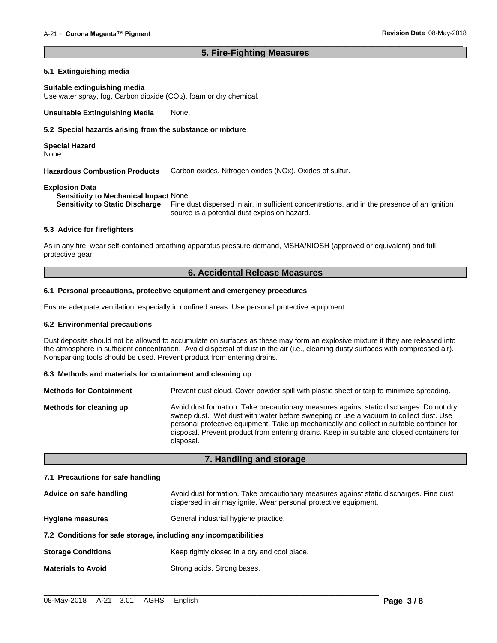#### **5. Fire-Fighting Measures**

 $\overline{\phantom{a}}$  ,  $\overline{\phantom{a}}$  ,  $\overline{\phantom{a}}$  ,  $\overline{\phantom{a}}$  ,  $\overline{\phantom{a}}$  ,  $\overline{\phantom{a}}$  ,  $\overline{\phantom{a}}$  ,  $\overline{\phantom{a}}$  ,  $\overline{\phantom{a}}$  ,  $\overline{\phantom{a}}$  ,  $\overline{\phantom{a}}$  ,  $\overline{\phantom{a}}$  ,  $\overline{\phantom{a}}$  ,  $\overline{\phantom{a}}$  ,  $\overline{\phantom{a}}$  ,  $\overline{\phantom{a}}$ 

#### **5.1 Extinguishing media**

#### **Suitable extinguishing media**

Use water spray, fog, Carbon dioxide (CO<sub>2</sub>), foam or dry chemical.

**Unsuitable Extinguishing Media** None.

#### **5.2 Special hazards arising from the substance or mixture**

**Special Hazard** None.

**Hazardous Combustion Products** Carbon oxides. Nitrogen oxides (NOx). Oxides of sulfur.

#### **Explosion Data**

**Sensitivity to Mechanical Impact** None.

Fine dust dispersed in air, in sufficient concentrations, and in the presence of an ignition source is a potential dust explosion hazard.

#### **5.3 Advice for firefighters**

As in any fire, wear self-contained breathing apparatus pressure-demand, MSHA/NIOSH (approved or equivalent) and full protective gear.

### **6. Accidental Release Measures**

#### **6.1 Personal precautions, protective equipment and emergency procedures**

Ensure adequate ventilation, especially in confined areas. Use personal protective equipment.

#### **6.2 Environmental precautions**

Dust deposits should not be allowed to accumulate on surfaces as these may form an explosive mixture if they are released into the atmosphere in sufficient concentration. Avoid dispersal of dust in the air (i.e., cleaning dusty surfaces with compressed air). Nonsparking tools should be used. Prevent product from entering drains.

#### **6.3 Methods and materials for containment and cleaning up**

| <b>Methods for Containment</b> | Prevent dust cloud. Cover powder spill with plastic sheet or tarp to minimize spreading.                                                                                                                                                                                                                                                                                                |
|--------------------------------|-----------------------------------------------------------------------------------------------------------------------------------------------------------------------------------------------------------------------------------------------------------------------------------------------------------------------------------------------------------------------------------------|
| Methods for cleaning up        | Avoid dust formation. Take precautionary measures against static discharges. Do not dry<br>sweep dust. Wet dust with water before sweeping or use a vacuum to collect dust. Use<br>personal protective equipment. Take up mechanically and collect in suitable container for<br>disposal. Prevent product from entering drains. Keep in suitable and closed containers for<br>disposal. |

#### **7. Handling and storage**

#### **7.1 Precautions for safe handling**

| Advice on safe handling                                          | Avoid dust formation. Take precautionary measures against static discharges. Fine dust<br>dispersed in air may ignite. Wear personal protective equipment. |  |
|------------------------------------------------------------------|------------------------------------------------------------------------------------------------------------------------------------------------------------|--|
| <b>Hygiene measures</b>                                          | General industrial hygiene practice.                                                                                                                       |  |
| 7.2 Conditions for safe storage, including any incompatibilities |                                                                                                                                                            |  |
| <b>Storage Conditions</b>                                        | Keep tightly closed in a dry and cool place.                                                                                                               |  |
| <b>Materials to Avoid</b>                                        | Strong acids. Strong bases.                                                                                                                                |  |

 $\_$  ,  $\_$  ,  $\_$  ,  $\_$  ,  $\_$  ,  $\_$  ,  $\_$  ,  $\_$  ,  $\_$  ,  $\_$  ,  $\_$  ,  $\_$  ,  $\_$  ,  $\_$  ,  $\_$  ,  $\_$  ,  $\_$  ,  $\_$  ,  $\_$  ,  $\_$  ,  $\_$  ,  $\_$  ,  $\_$  ,  $\_$  ,  $\_$  ,  $\_$  ,  $\_$  ,  $\_$  ,  $\_$  ,  $\_$  ,  $\_$  ,  $\_$  ,  $\_$  ,  $\_$  ,  $\_$  ,  $\_$  ,  $\_$  ,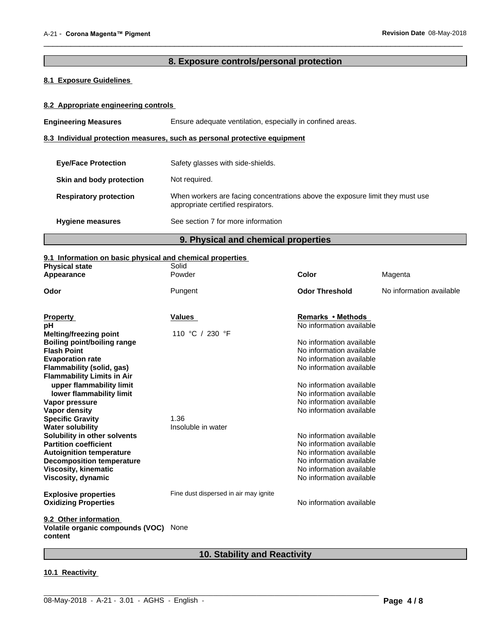## **8. Exposure controls/personal protection**

 $\overline{\phantom{a}}$  ,  $\overline{\phantom{a}}$  ,  $\overline{\phantom{a}}$  ,  $\overline{\phantom{a}}$  ,  $\overline{\phantom{a}}$  ,  $\overline{\phantom{a}}$  ,  $\overline{\phantom{a}}$  ,  $\overline{\phantom{a}}$  ,  $\overline{\phantom{a}}$  ,  $\overline{\phantom{a}}$  ,  $\overline{\phantom{a}}$  ,  $\overline{\phantom{a}}$  ,  $\overline{\phantom{a}}$  ,  $\overline{\phantom{a}}$  ,  $\overline{\phantom{a}}$  ,  $\overline{\phantom{a}}$ 

### **8.1 Exposure Guidelines**

#### **8.2 Appropriate engineering controls**

**Engineering Measures** Ensure adequate ventilation, especially in confined areas.

#### **8.3 Individual protection measures, such as personal protective equipment**

| <b>Eye/Face Protection</b>    | Safety glasses with side-shields.                                                                                   |
|-------------------------------|---------------------------------------------------------------------------------------------------------------------|
| Skin and body protection      | Not required.                                                                                                       |
| <b>Respiratory protection</b> | When workers are facing concentrations above the exposure limit they must use<br>appropriate certified respirators. |
| <b>Hygiene measures</b>       | See section 7 for more information                                                                                  |

### **9. Physical and chemical properties**

#### **9.1 Information on basic physical and chemical properties**

| <b>Physical state</b>                                                | -------<br>Solid                      |                          |                          |
|----------------------------------------------------------------------|---------------------------------------|--------------------------|--------------------------|
| Appearance                                                           | Powder                                | Color                    | Magenta                  |
| Odor                                                                 | Pungent                               | <b>Odor Threshold</b>    | No information available |
| <b>Property</b>                                                      | Values                                | Remarks • Methods        |                          |
| рH                                                                   |                                       | No information available |                          |
| <b>Melting/freezing point</b>                                        | 110 °C / 230 °F                       |                          |                          |
| <b>Boiling point/boiling range</b>                                   |                                       | No information available |                          |
| <b>Flash Point</b>                                                   |                                       | No information available |                          |
| <b>Evaporation rate</b>                                              |                                       | No information available |                          |
| Flammability (solid, gas)                                            |                                       | No information available |                          |
| <b>Flammability Limits in Air</b>                                    |                                       |                          |                          |
| upper flammability limit                                             |                                       | No information available |                          |
| lower flammability limit                                             |                                       | No information available |                          |
| Vapor pressure                                                       |                                       | No information available |                          |
| Vapor density                                                        |                                       | No information available |                          |
| <b>Specific Gravity</b>                                              | 1.36                                  |                          |                          |
| <b>Water solubility</b>                                              | Insoluble in water                    |                          |                          |
| Solubility in other solvents                                         |                                       | No information available |                          |
| <b>Partition coefficient</b>                                         |                                       | No information available |                          |
| <b>Autoignition temperature</b>                                      |                                       | No information available |                          |
| <b>Decomposition temperature</b>                                     |                                       | No information available |                          |
| <b>Viscosity, kinematic</b>                                          |                                       | No information available |                          |
| Viscosity, dynamic                                                   |                                       | No information available |                          |
| <b>Explosive properties</b>                                          | Fine dust dispersed in air may ignite |                          |                          |
| <b>Oxidizing Properties</b>                                          |                                       | No information available |                          |
| 9.2 Other information<br>Volatile organic compounds (VOC)<br>content | None                                  |                          |                          |
|                                                                      |                                       |                          |                          |

## **10. Stability and Reactivity**

 $\_$  ,  $\_$  ,  $\_$  ,  $\_$  ,  $\_$  ,  $\_$  ,  $\_$  ,  $\_$  ,  $\_$  ,  $\_$  ,  $\_$  ,  $\_$  ,  $\_$  ,  $\_$  ,  $\_$  ,  $\_$  ,  $\_$  ,  $\_$  ,  $\_$  ,  $\_$  ,  $\_$  ,  $\_$  ,  $\_$  ,  $\_$  ,  $\_$  ,  $\_$  ,  $\_$  ,  $\_$  ,  $\_$  ,  $\_$  ,  $\_$  ,  $\_$  ,  $\_$  ,  $\_$  ,  $\_$  ,  $\_$  ,  $\_$  ,

#### **10.1 Reactivity**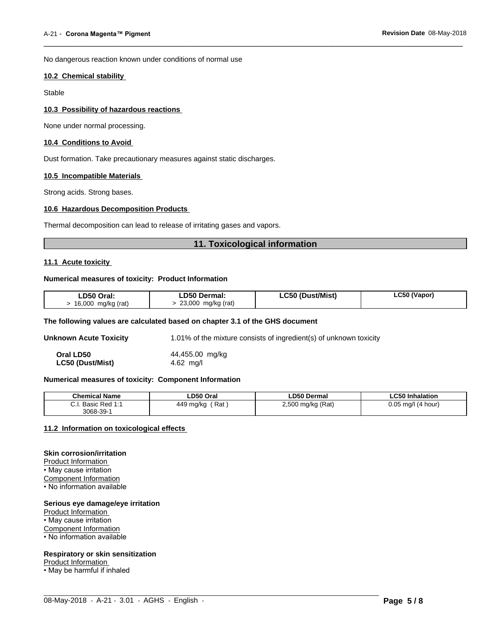No dangerous reaction known under conditions of normal use

#### **10.2 Chemical stability**

Stable

#### **10.3 Possibility of hazardous reactions**

None under normal processing.

#### **10.4 Conditions to Avoid**

Dust formation. Take precautionary measures against static discharges.

#### **10.5 Incompatible Materials**

Strong acids. Strong bases.

#### **10.6 Hazardous Decomposition Products**

Thermal decomposition can lead to release of irritating gases and vapors.

#### **11. Toxicological information**

 $\overline{\phantom{a}}$  ,  $\overline{\phantom{a}}$  ,  $\overline{\phantom{a}}$  ,  $\overline{\phantom{a}}$  ,  $\overline{\phantom{a}}$  ,  $\overline{\phantom{a}}$  ,  $\overline{\phantom{a}}$  ,  $\overline{\phantom{a}}$  ,  $\overline{\phantom{a}}$  ,  $\overline{\phantom{a}}$  ,  $\overline{\phantom{a}}$  ,  $\overline{\phantom{a}}$  ,  $\overline{\phantom{a}}$  ,  $\overline{\phantom{a}}$  ,  $\overline{\phantom{a}}$  ,  $\overline{\phantom{a}}$ 

#### **11.1 Acute toxicity**

#### **Numerical measures of toxicity: Product Information**

| LD50 Oral:         | LD50 Dermal:       | <b>LC50 (Dust/Mist)</b> | LC50 (Vapor) |  |
|--------------------|--------------------|-------------------------|--------------|--|
| 16,000 mg/kg (rat) | 23,000 mg/kg (rat) |                         |              |  |

#### **The following values are calculated based on chapter 3.1 of the GHS document**

**Unknown Acute Toxicity** 1.01% of the mixture consists of ingredient(s) of unknown toxicity

| Oral LD50        | 44,455.00 mg/kg |
|------------------|-----------------|
| LC50 (Dust/Mist) | 4.62 mg/l       |

#### **Numerical measures of toxicity: Component Information**

| <b>Chemical Name</b>             | ∟D50 Oral                             | <b>LD50 Dermal</b>           | <b>LC50 Inhalation</b>   |
|----------------------------------|---------------------------------------|------------------------------|--------------------------|
| ~ ·<br>Red<br>Basic I<br><br>. . | Rat<br>449<br>) mg/ka<br>.<br>$\cdot$ | 2,500 mg/kg (Rat)<br>$\cdot$ | 0.05<br>ma/l<br>(4 hour) |
| 3068-39-                         |                                       |                              |                          |

 $\_$  ,  $\_$  ,  $\_$  ,  $\_$  ,  $\_$  ,  $\_$  ,  $\_$  ,  $\_$  ,  $\_$  ,  $\_$  ,  $\_$  ,  $\_$  ,  $\_$  ,  $\_$  ,  $\_$  ,  $\_$  ,  $\_$  ,  $\_$  ,  $\_$  ,  $\_$  ,  $\_$  ,  $\_$  ,  $\_$  ,  $\_$  ,  $\_$  ,  $\_$  ,  $\_$  ,  $\_$  ,  $\_$  ,  $\_$  ,  $\_$  ,  $\_$  ,  $\_$  ,  $\_$  ,  $\_$  ,  $\_$  ,  $\_$  ,

#### **11.2 Information on toxicologicaleffects**

### **Skin corrosion/irritation**

Product Information • May cause irritation Component Information • No information available

#### **Serious eye damage/eye irritation**

Product Information • May cause irritation Component Information • No information available

#### **Respiratory or skin sensitization**

Product Information

• May be harmful if inhaled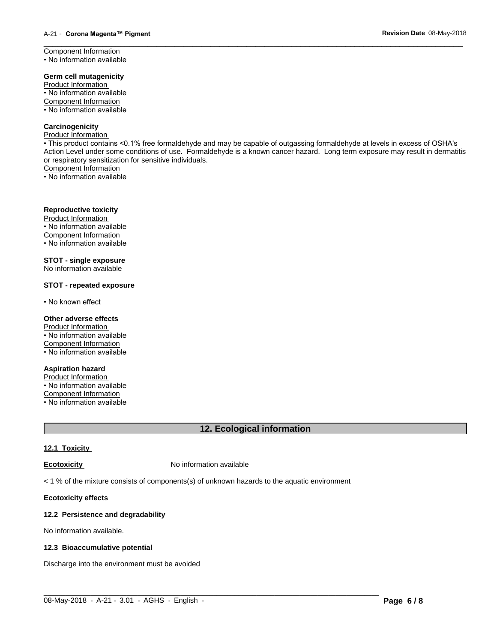Component Information • No information available

#### **Germ cell mutagenicity**

Product Information • No information available Component Information • No information available

#### **Carcinogenicity**

Product Information

• This product contains <0.1% free formaldehyde and may be capable of outgassing formaldehyde at levels in excess of OSHA's Action Level under some conditions of use. Formaldehyde is a known cancer hazard. Long term exposure may result in dermatitis or respiratory sensitization for sensitive individuals.<br>Component Information

 $\overline{\phantom{a}}$  ,  $\overline{\phantom{a}}$  ,  $\overline{\phantom{a}}$  ,  $\overline{\phantom{a}}$  ,  $\overline{\phantom{a}}$  ,  $\overline{\phantom{a}}$  ,  $\overline{\phantom{a}}$  ,  $\overline{\phantom{a}}$  ,  $\overline{\phantom{a}}$  ,  $\overline{\phantom{a}}$  ,  $\overline{\phantom{a}}$  ,  $\overline{\phantom{a}}$  ,  $\overline{\phantom{a}}$  ,  $\overline{\phantom{a}}$  ,  $\overline{\phantom{a}}$  ,  $\overline{\phantom{a}}$ 

• No information available

#### **Reproductive toxicity**

Product Information  $\cdot$  No information available Component Information • No information available

**STOT - single exposure** No information available

#### **STOT - repeated exposure**

• No known effect

#### **Other adverse effects**

Product Information • No information available Component Information • No information available

#### **Aspiration hazard**

Product Information  $\cdot$  No information available Component Information • No information available

### **12. Ecological information**

### **12.1 Toxicity**

**Ecotoxicity No information available** 

 $<$  1 % of the mixture consists of components(s) of unknown hazards to the aquatic environment

#### **Ecotoxicity effects**

#### **12.2 Persistence and degradability**

No information available.

#### **12.3 Bioaccumulative potential**

Discharge into the environment must be avoided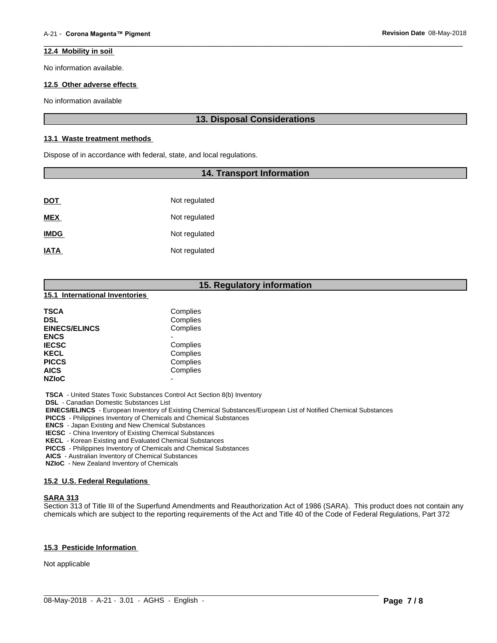#### **12.4 Mobility in soil**

No information available.

#### **12.5 Other adverse effects**

No information available

### **13. Disposal Considerations**

 $\overline{\phantom{a}}$  ,  $\overline{\phantom{a}}$  ,  $\overline{\phantom{a}}$  ,  $\overline{\phantom{a}}$  ,  $\overline{\phantom{a}}$  ,  $\overline{\phantom{a}}$  ,  $\overline{\phantom{a}}$  ,  $\overline{\phantom{a}}$  ,  $\overline{\phantom{a}}$  ,  $\overline{\phantom{a}}$  ,  $\overline{\phantom{a}}$  ,  $\overline{\phantom{a}}$  ,  $\overline{\phantom{a}}$  ,  $\overline{\phantom{a}}$  ,  $\overline{\phantom{a}}$  ,  $\overline{\phantom{a}}$ 

#### **13.1 Waste treatment methods**

Dispose of in accordance with federal, state, and local regulations.

#### **14. Transport Information**

| <u>DOT</u>  | Not regulated |
|-------------|---------------|
| <b>MEX</b>  | Not regulated |
| <b>IMDG</b> | Not regulated |
| <b>IATA</b> | Not regulated |

### **15. Regulatory information**

#### **15.1 International Inventories**

| Complies |
|----------|
| Complies |
| Complies |
|          |
| Complies |
| Complies |
| Complies |
| Complies |
| -        |
|          |

 **TSCA** - United States Toxic Substances Control Act Section 8(b) Inventory

 **DSL** - Canadian Domestic Substances List

 **EINECS/ELINCS** - European Inventory of Existing Chemical Substances/European List of Notified Chemical Substances

 **PICCS** - Philippines Inventory of Chemicals and Chemical Substances

 **ENCS** - Japan Existing and New Chemical Substances

 **IECSC** - China Inventory of Existing Chemical Substances

 **KECL** - Korean Existing and Evaluated Chemical Substances

 **PICCS** - Philippines Inventory of Chemicals and Chemical Substances

 **AICS** - Australian Inventory of Chemical Substances

 **NZIoC** - New Zealand Inventory of Chemicals

#### **15.2 U.S. Federal Regulations**

#### **SARA 313**

Section 313 of Title III of the Superfund Amendments and Reauthorization Act of 1986 (SARA). This product does not contain any chemicals which are subject to the reporting requirements of the Act and Title 40 of the Code of Federal Regulations, Part 372

#### **15.3 Pesticide Information**

Not applicable